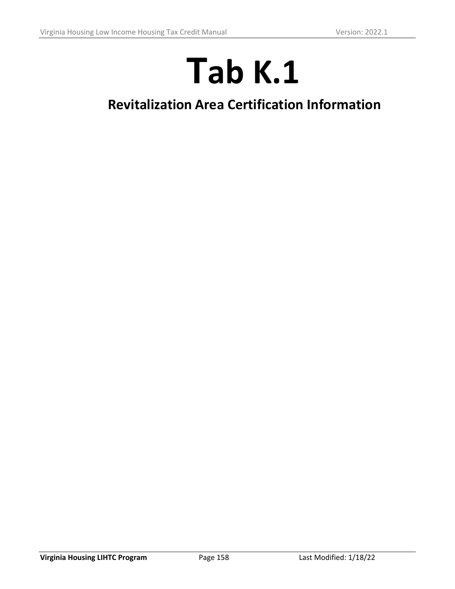## **Tab K.1**

## **Revitalization Area Certification Information**